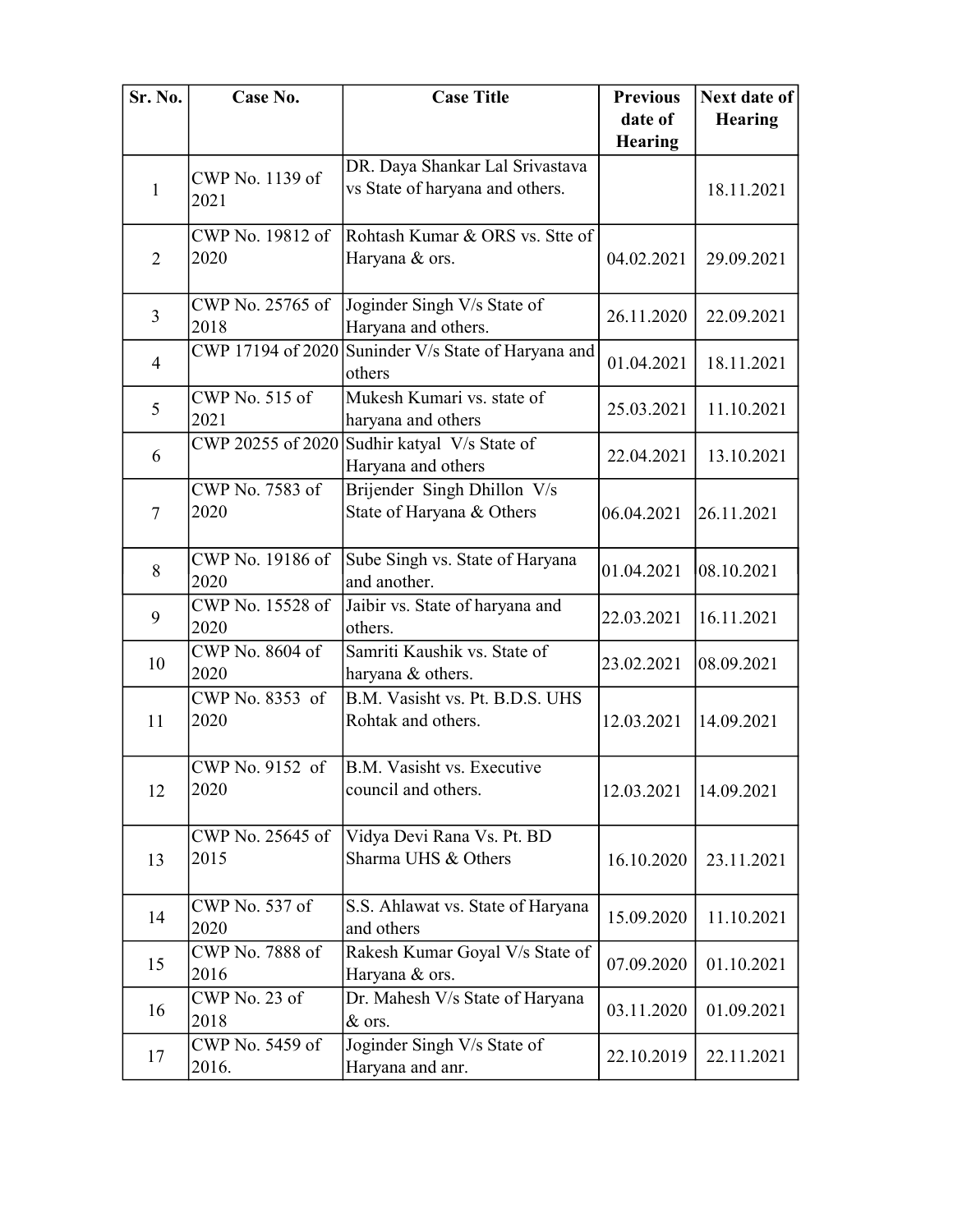| Sr. No.        | Case No.                 | <b>Case Title</b>                                                  | <b>Previous</b> | Next date of   |
|----------------|--------------------------|--------------------------------------------------------------------|-----------------|----------------|
|                |                          |                                                                    | date of         | <b>Hearing</b> |
|                |                          |                                                                    | <b>Hearing</b>  |                |
| 1              | CWP No. 1139 of<br>2021  | DR. Daya Shankar Lal Srivastava<br>vs State of haryana and others. |                 | 18.11.2021     |
| $\overline{2}$ | CWP No. 19812 of<br>2020 | Rohtash Kumar & ORS vs. Stte of<br>Haryana & ors.                  | 04.02.2021      | 29.09.2021     |
| 3              | CWP No. 25765 of<br>2018 | Joginder Singh V/s State of<br>Haryana and others.                 | 26.11.2020      | 22.09.2021     |
| $\overline{4}$ | CWP 17194 of 2020        | Suninder V/s State of Haryana and<br>others                        | 01.04.2021      | 18.11.2021     |
| 5              | CWP No. 515 of<br>2021   | Mukesh Kumari vs. state of<br>haryana and others                   | 25.03.2021      | 11.10.2021     |
| 6              |                          | CWP 20255 of 2020 Sudhir katyal V/s State of<br>Haryana and others | 22.04.2021      | 13.10.2021     |
| $\tau$         | CWP No. 7583 of<br>2020  | Brijender Singh Dhillon V/s<br>State of Haryana & Others           | 06.04.2021      | 26.11.2021     |
| 8              | CWP No. 19186 of<br>2020 | Sube Singh vs. State of Haryana<br>and another.                    | 01.04.2021      | 08.10.2021     |
| 9              | CWP No. 15528 of<br>2020 | Jaibir vs. State of haryana and<br>others.                         | 22.03.2021      | 16.11.2021     |
| 10             | CWP No. 8604 of<br>2020  | Samriti Kaushik vs. State of<br>haryana & others.                  | 23.02.2021      | 08.09.2021     |
| 11             | CWP No. 8353 of<br>2020  | B.M. Vasisht vs. Pt. B.D.S. UHS<br>Rohtak and others.              | 12.03.2021      | 14.09.2021     |
| 12             | CWP No. 9152 of<br>2020  | B.M. Vasisht vs. Executive<br>council and others.                  | 12.03.2021      | 14.09.2021     |
| 13             | CWP No. 25645 of<br>2015 | Vidya Devi Rana Vs. Pt. BD<br>Sharma UHS & Others                  | 16.10.2020      | 23.11.2021     |
| 14             | CWP No. 537 of<br>2020   | S.S. Ahlawat vs. State of Haryana<br>and others                    | 15.09.2020      | 11.10.2021     |
| 15             | CWP No. 7888 of<br>2016  | Rakesh Kumar Goyal V/s State of<br>Haryana & ors.                  | 07.09.2020      | 01.10.2021     |
| 16             | CWP No. 23 of<br>2018    | Dr. Mahesh V/s State of Haryana<br>& ors.                          | 03.11.2020      | 01.09.2021     |
| 17             | CWP No. 5459 of<br>2016. | Joginder Singh V/s State of<br>Haryana and anr.                    | 22.10.2019      | 22.11.2021     |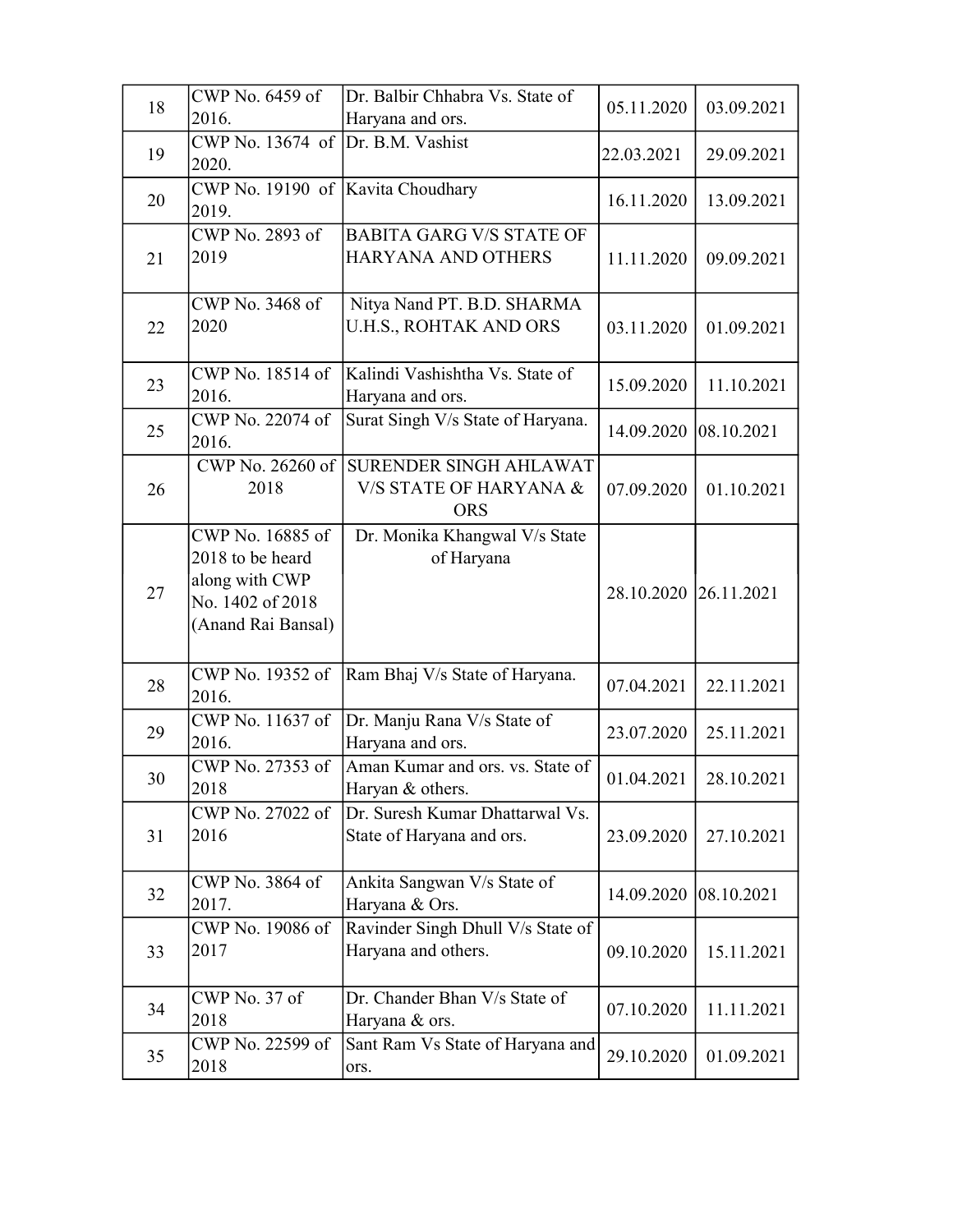| 18 | CWP No. 6459 of<br>2016.                                                                         | Dr. Balbir Chhabra Vs. State of<br>Haryana and ors.            | 05.11.2020            | 03.09.2021 |
|----|--------------------------------------------------------------------------------------------------|----------------------------------------------------------------|-----------------------|------------|
| 19 | CWP No. 13674 of Dr. B.M. Vashist<br>2020.                                                       |                                                                | 22.03.2021            | 29.09.2021 |
| 20 | CWP No. 19190 of Kavita Choudhary<br>2019.                                                       |                                                                | 16.11.2020            | 13.09.2021 |
| 21 | CWP No. 2893 of<br>2019                                                                          | <b>BABITA GARG V/S STATE OF</b><br>HARYANA AND OTHERS          | 11.11.2020            | 09.09.2021 |
| 22 | CWP No. 3468 of<br>2020                                                                          | Nitya Nand PT. B.D. SHARMA<br>U.H.S., ROHTAK AND ORS           | 03.11.2020            | 01.09.2021 |
| 23 | CWP No. 18514 of<br>2016.                                                                        | Kalindi Vashishtha Vs. State of<br>Haryana and ors.            | 15.09.2020            | 11.10.2021 |
| 25 | CWP No. 22074 of<br>2016.                                                                        | Surat Singh V/s State of Haryana.                              | 14.09.2020            | 08.10.2021 |
| 26 | CWP No. 26260 of<br>2018                                                                         | SURENDER SINGH AHLAWAT<br>V/S STATE OF HARYANA &<br><b>ORS</b> | 07.09.2020            | 01.10.2021 |
| 27 | CWP No. 16885 of<br>2018 to be heard<br>along with CWP<br>No. 1402 of 2018<br>(Anand Rai Bansal) | Dr. Monika Khangwal V/s State<br>of Haryana                    | 28.10.2020 26.11.2021 |            |
| 28 | CWP No. 19352 of<br>2016.                                                                        | Ram Bhaj V/s State of Haryana.                                 | 07.04.2021            | 22.11.2021 |
| 29 | CWP No. 11637 of<br>2016.                                                                        | Dr. Manju Rana V/s State of<br>Haryana and ors.                | 23.07.2020            | 25.11.2021 |
| 30 | CWP No. 27353 of<br>2018                                                                         | Aman Kumar and ors. vs. State of<br>Haryan & others.           | 01.04.2021            | 28.10.2021 |
| 31 | CWP No. 27022 of<br>2016                                                                         | Dr. Suresh Kumar Dhattarwal Vs.<br>State of Haryana and ors.   | 23.09.2020            | 27.10.2021 |
| 32 | CWP No. 3864 of<br>2017.                                                                         | Ankita Sangwan V/s State of<br>Haryana & Ors.                  | 14.09.2020            | 08.10.2021 |
| 33 | CWP No. 19086 of<br>2017                                                                         | Ravinder Singh Dhull V/s State of<br>Haryana and others.       | 09.10.2020            | 15.11.2021 |
| 34 | CWP No. 37 of<br>2018                                                                            | Dr. Chander Bhan V/s State of<br>Haryana & ors.                | 07.10.2020            | 11.11.2021 |
| 35 | CWP No. 22599 of<br>2018                                                                         | Sant Ram Vs State of Haryana and<br>ors.                       | 29.10.2020            | 01.09.2021 |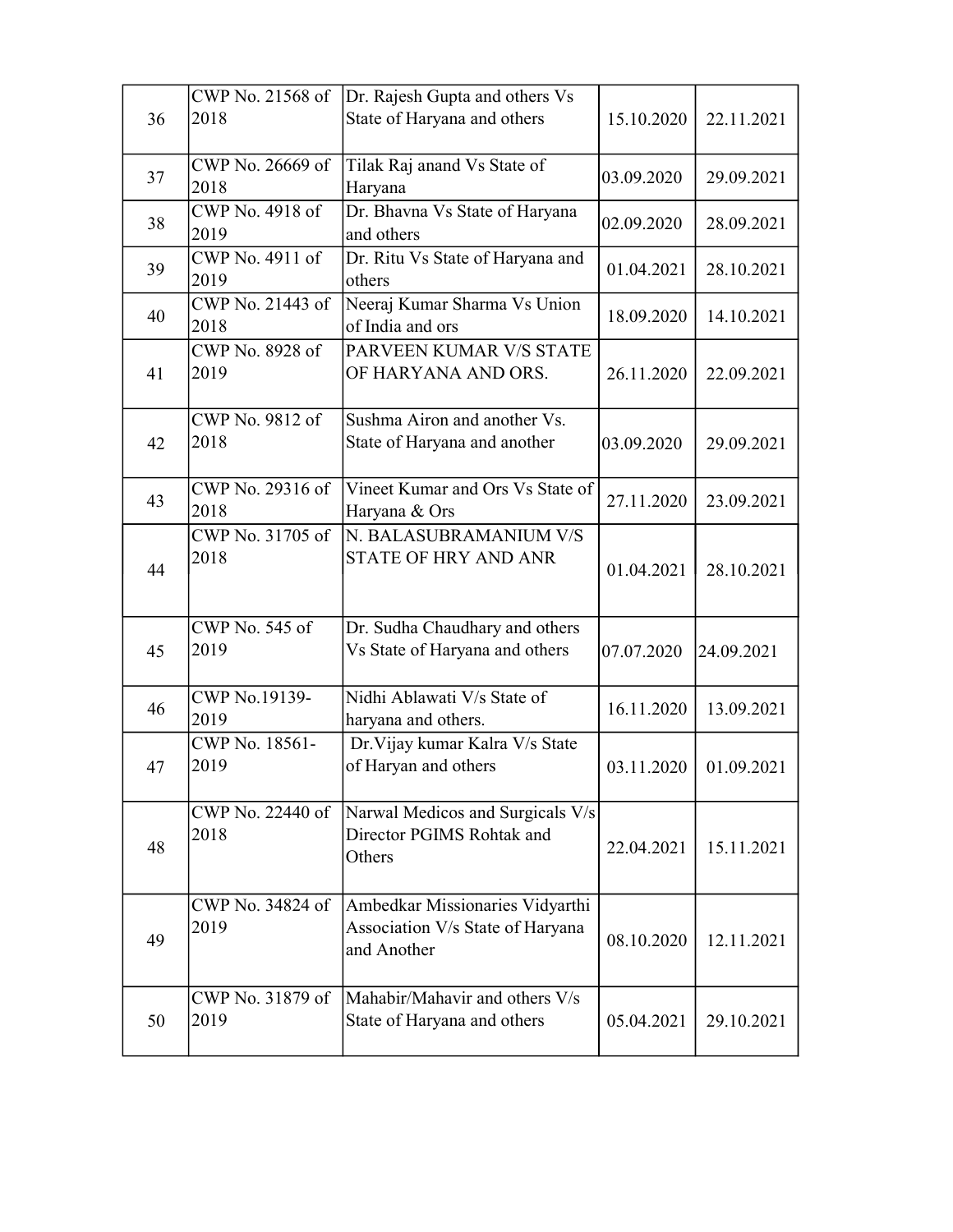|    | CWP No. 21568 of         | Dr. Rajesh Gupta and others Vs                                                     |            |            |
|----|--------------------------|------------------------------------------------------------------------------------|------------|------------|
| 36 | 2018                     | State of Haryana and others                                                        | 15.10.2020 | 22.11.2021 |
| 37 | CWP No. 26669 of<br>2018 | Tilak Raj anand Vs State of<br>Haryana                                             | 03.09.2020 | 29.09.2021 |
| 38 | CWP No. 4918 of          | Dr. Bhavna Vs State of Haryana<br>and others                                       | 02.09.2020 | 28.09.2021 |
| 39 | 2019<br>CWP No. 4911 of  | Dr. Ritu Vs State of Haryana and                                                   | 01.04.2021 | 28.10.2021 |
| 40 | 2019<br>CWP No. 21443 of | others<br>Neeraj Kumar Sharma Vs Union                                             | 18.09.2020 | 14.10.2021 |
|    | 2018<br>CWP No. 8928 of  | of India and ors<br>PARVEEN KUMAR V/S STATE                                        |            |            |
| 41 | 2019                     | OF HARYANA AND ORS.                                                                | 26.11.2020 | 22.09.2021 |
| 42 | CWP No. 9812 of<br>2018  | Sushma Airon and another Vs.<br>State of Haryana and another                       | 03.09.2020 | 29.09.2021 |
| 43 | CWP No. 29316 of<br>2018 | Vineet Kumar and Ors Vs State of<br>Haryana & Ors                                  | 27.11.2020 | 23.09.2021 |
| 44 | CWP No. 31705 of<br>2018 | N. BALASUBRAMANIUM V/S<br><b>STATE OF HRY AND ANR</b>                              | 01.04.2021 | 28.10.2021 |
| 45 | CWP No. 545 of<br>2019   | Dr. Sudha Chaudhary and others<br>Vs State of Haryana and others                   | 07.07.2020 | 24.09.2021 |
| 46 | CWP No.19139-<br>2019    | Nidhi Ablawati V/s State of<br>haryana and others.                                 | 16.11.2020 | 13.09.2021 |
| 47 | CWP No. 18561-<br>2019   | Dr. Vijay kumar Kalra V/s State<br>of Haryan and others                            | 03.11.2020 | 01.09.2021 |
| 48 | CWP No. 22440 of<br>2018 | Narwal Medicos and Surgicals V/s<br>Director PGIMS Rohtak and<br>Others            | 22.04.2021 | 15.11.2021 |
| 49 | CWP No. 34824 of<br>2019 | Ambedkar Missionaries Vidyarthi<br>Association V/s State of Haryana<br>and Another | 08.10.2020 | 12.11.2021 |
| 50 | CWP No. 31879 of<br>2019 | Mahabir/Mahavir and others V/s<br>State of Haryana and others                      | 05.04.2021 | 29.10.2021 |